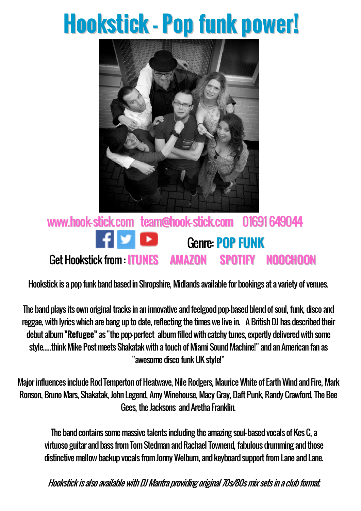## **Hookstick - Pop funk power!**



## [www.hook-stick.com](http://www.hook-stick.com/) [team@hook-stick.com](mailto:team@hook-stick.com) 01691 649044 Genre: **POP FUNK** Get Hookstick from : **[ITUNES](https://itunes.apple.com/gb/album/refugee-single/id1232125626) [AMAZON](https://www.amazon.co.uk/Refugee/dp/B072P5RPBB/ref=sr_1_1?ie=UTF8&qid=1493985359&sr=8-1&keywords=hookstick+refugee) [SPOTIFY](https://open.spotify.com/album/6JyvxmKy93JaP833Q7DHfV) [NOOCHOON](http://www.noochoon.com/hookstick-refugee.html)**

Hookstick is a pop funk band based in Shropshire, Midlands available for bookings at a variety of venues.

The band plays its own original tracks in an innovative and feelgood pop-based blend of soul, funk, disco and reggae, with lyrics which are bang up to date, reflecting the times we live in. A British DJ has described their debut album **"Refugee"** as "the pop-perfect album filled with catchy tunes, expertly delivered with some style.....think Mike Post meets Shakatak with a touch of Miami Sound Machine!" and an American fan as "awesome disco funkUK style!"

Major influences include Rod Temperton of Heatwave, Nile Rodgers, Maurice White of Earth Wind and Fire, Mark Ronson, Bruno Mars, Shakatak, John Legend, Amy Winehouse, Macy Gray, Daft Punk, Randy Crawford, The Bee Gees, the Jacksons and Aretha Franklin.

The band contains some massive talents including the amazing soul-based vocals of Kes C, a virtuoso guitar and bass from Tom Stedman and Rachael Townend, fabulous drumming and those distinctive mellow backup vocals from Jonny Welburn, and keyboard support from Lane and Lane.

Hookstick is also available with DJ Mantra providing original 70s/80s mix sets in a club format.